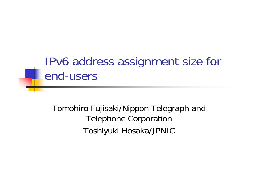## IPv6 address assignment size for end-users

Tomohiro Fujisaki/Nippon Telegraph and Telephone Corporation Toshiyuki Hosaka/JPNIC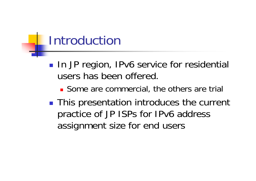## Introduction

- **Service Service** ■ In JP region, IPv6 service for residential users has been offered.
	- **Some are commercial, the others are trial**
- **This presentation introduces the current** practice of JP ISPs for IPv6 address assignment size for end users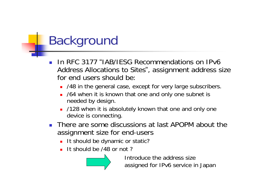# Background

- П ■ In RFC 3177 "IAB/IESG Recommendations on IPv6 Address Allocations to Sites", assignment address size for end users should be:
	- **148 in the general case, except for very large subscribers.**
	- **100.** 764 when it is known that one and only one subnet is needed by design.
	- L. /128 when it is absolutely known that one and only one device is connecting.
- **There are some discussions at last APOPM about the** assignment size for end-users
	- **It should be dynamic or static?**
	- It should be /48 or not?



Introduce the address size assigned for IPv6 service in Japan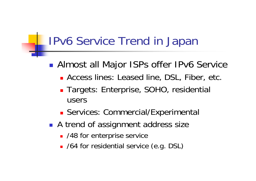### IPv6 Service Trend in Japan

#### **Service Service** ■ Almost all Major ISPs offer IPv6 Service

- **Access lines: Leased line, DSL, Fiber, etc.**
- **Targets: Enterprise, SOHO, residential** users
- Services: Commercial/Experimental
- A trend of assignment address size
	- /48 for enterprise service
	- /64 for residential service (e.g. DSL)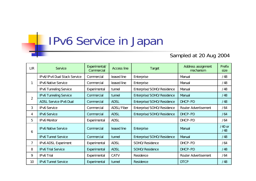### IPv6 Service in Japan

### Sampled at 20 Aug 2004

| <b>LIR</b> | Service                       | Experimental/<br>Commercial | <b>Access line</b> | Target                    | Address assignment<br>mechanism | <b>Prefix</b><br>size |
|------------|-------------------------------|-----------------------------|--------------------|---------------------------|---------------------------------|-----------------------|
| 1          | IPv6/IPv4 Dual Stack Service  | Commercial                  | leased line        | Enterprise                | Manual                          | /48                   |
|            | <b>IPv6 Native Service</b>    | Commercial                  | leased line        | Enterprise                | Manual                          | /48                   |
|            | <b>IPv6 Tunneling Service</b> | Experimental                | tunnel             | Enterprise/SOHO/Residence | Manual                          | /48                   |
| 2          | <b>IPv6 Tunneling Service</b> | Commercial                  | tunnel             | Enterprise/SOHO/Residence | Manual                          | /48                   |
|            | <b>ADSL Service IPv6 Dual</b> | Commercial                  | <b>ADSL</b>        | Enterprise/SOHO/Residence | DHCP-PD                         | /48                   |
| 3          | <b>IPv6 Service</b>           | Commercial                  | ADSL/Fiber         | Enterprise/SOHO/Residence | Router Advertisement            | /64                   |
| 4          | <b>IPv6 Service</b>           | Commercial                  | <b>ADSL</b>        | Enterprise/SOHO/Residence | DHCP-PD                         | /64                   |
| 5          | <b>IPv6 Monitor</b>           | Experimental                | <b>ADSL</b>        |                           | DHCP-PD                         | /64                   |
| 6          | <b>IPv6 Native Service</b>    | Commercial                  | leased line        | Enterprise                | Manual                          | $/40$ or<br>/48       |
|            | <b>IPv6 Tunnel Service</b>    | Commercial                  | tunnel             | Enterprise/SOHO/Residence | Manual                          | /48                   |
| 7          | <b>IPv6 ADSL Experiment</b>   | Experimental                | <b>ADSL</b>        | SOHO/Residence            | DHCP-PD                         | /64                   |
| 8          | <b>IPv6 Trial Service</b>     | Experimental                | <b>ADSL</b>        | SOHO/Residence            | DHCP-PD                         | /48                   |
| 9          | <b>IPv6Trial</b>              | Experimental                | <b>CATV</b>        | Residence                 | Router Advertisement            | /64                   |
| 10         | <b>IPv6 Tunnel Service</b>    | Experimental                | tunnel             | Residence                 | <b>DTCP</b>                     | /48                   |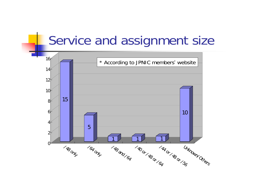### Service and assignment size

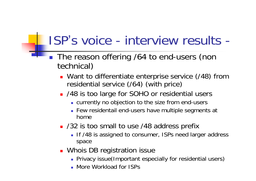## ISP's voice - interview results -

- The reason offering /64 to end-users (non technical)
	- **Nant to differentiate enterprise service (/48) from** residential service (/64) (with price)
	- /48 is too large for SOHO or residential users
		- currently no objection to the size from end-users
		- Few residentail end-users have multiple segments at home
	- /32 is too small to use /48 address prefix
		- **If /48 is assigned to consumer, ISPs need larger address** space
	- **Nhois DB registration issue** 
		- Privacy issue(Important especially for residential users)
		- More Workload for ISPs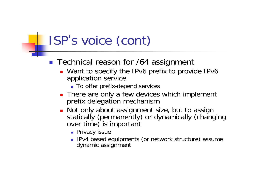# ISP 's voice (cont)

- **Technical reason for /64 assignment** 
	- Want to specify the IPv6 prefix to provide IPv6 application service
		- To offer prefix-depend services
	- **There are only a few devices which implement** prefix delegation mechanism
	- Not only about assignment size, but to assign statically (permanently) or dynamically (changing over time) is important
		- **•** Privacy issue
		- **IPv4 based equipments (or network structure) assume** dynamic assignment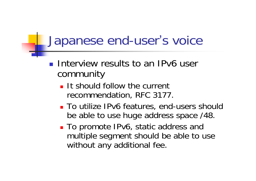## Japanese end-user 's voice

- **Interview results to an IPv6 user** community
	- $\blacksquare$  It should follow the current recommendation, RFC 3177.
	- To utilize IPv6 features, end-users should be able to use huge address space /48.
	- To promote IPv6, static address and multiple segment should be able to use without any additional fee.